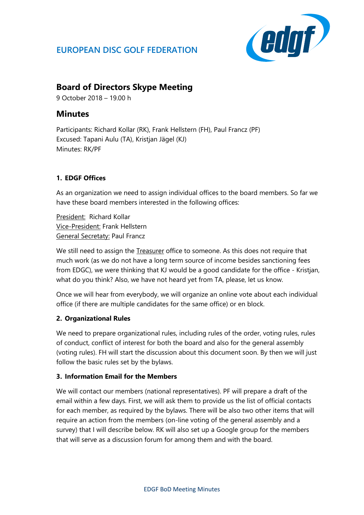# **EUROPEAN DISC GOLF FEDERATION**



## **Board of Directors Skype Meeting**

9 October 2018 – 19.00 h

## **Minutes**

Participants: Richard Kollar (RK), Frank Hellstern (FH), Paul Francz (PF) Excused: Tapani Aulu (TA), Kristjan Jägel (KJ) Minutes: RK/PF

## **1. EDGF Offices**

As an organization we need to assign individual offices to the board members. So far we have these board members interested in the following offices:

President: Richard Kollar Vice-President: Frank Hellstern General Secretaty: Paul Francz

We still need to assign the Treasurer office to someone. As this does not require that much work (as we do not have a long term source of income besides sanctioning fees from EDGC), we were thinking that KJ would be a good candidate for the office - Kristjan, what do you think? Also, we have not heard yet from TA, please, let us know.

Once we will hear from everybody, we will organize an online vote about each individual office (if there are multiple candidates for the same office) or en block.

## **2. Organizational Rules**

We need to prepare organizational rules, including rules of the order, voting rules, rules of conduct, conflict of interest for both the board and also for the general assembly (voting rules). FH will start the discussion about this document soon. By then we will just follow the basic rules set by the bylaws.

### **3. Information Email for the Members**

We will contact our members (national representatives). PF will prepare a draft of the email within a few days. First, we will ask them to provide us the list of official contacts for each member, as required by the bylaws. There will be also two other items that will require an action from the members (on-line voting of the general assembly and a survey) that I will describe below. RK will also set up a Google group for the members that will serve as a discussion forum for among them and with the board.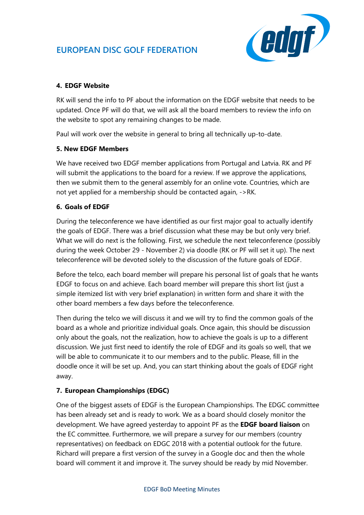# **EUROPEAN DISC GOLF FEDERATION**



## **4. EDGF Website**

RK will send the info to PF about the information on the EDGF website that needs to be updated. Once PF will do that, we will ask all the board members to review the info on the website to spot any remaining changes to be made.

Paul will work over the website in general to bring all technically up-to-date.

#### **5. New EDGF Members**

We have received two EDGF member applications from Portugal and Latvia. RK and PF will submit the applications to the board for a review. If we approve the applications, then we submit them to the general assembly for an online vote. Countries, which are not yet applied for a membership should be contacted again, ->RK.

#### **6. Goals of EDGF**

During the teleconference we have identified as our first major goal to actually identify the goals of EDGF. There was a brief discussion what these may be but only very brief. What we will do next is the following. First, we schedule the next teleconference (possibly during the week October 29 - November 2) via doodle (RK or PF will set it up). The next teleconference will be devoted solely to the discussion of the future goals of EDGF.

Before the telco, each board member will prepare his personal list of goals that he wants EDGF to focus on and achieve. Each board member will prepare this short list (just a simple itemized list with very brief explanation) in written form and share it with the other board members a few days before the teleconference.

Then during the telco we will discuss it and we will try to find the common goals of the board as a whole and prioritize individual goals. Once again, this should be discussion only about the goals, not the realization, how to achieve the goals is up to a different discussion. We just first need to identify the role of EDGF and its goals so well, that we will be able to communicate it to our members and to the public. Please, fill in the doodle once it will be set up. And, you can start thinking about the goals of EDGF right away.

### **7. European Championships (EDGC)**

One of the biggest assets of EDGF is the European Championships. The EDGC committee has been already set and is ready to work. We as a board should closely monitor the development. We have agreed yesterday to appoint PF as the **EDGF board liaison** on the EC committee. Furthermore, we will prepare a survey for our members (country representatives) on feedback on EDGC 2018 with a potential outlook for the future. Richard will prepare a first version of the survey in a Google doc and then the whole board will comment it and improve it. The survey should be ready by mid November.